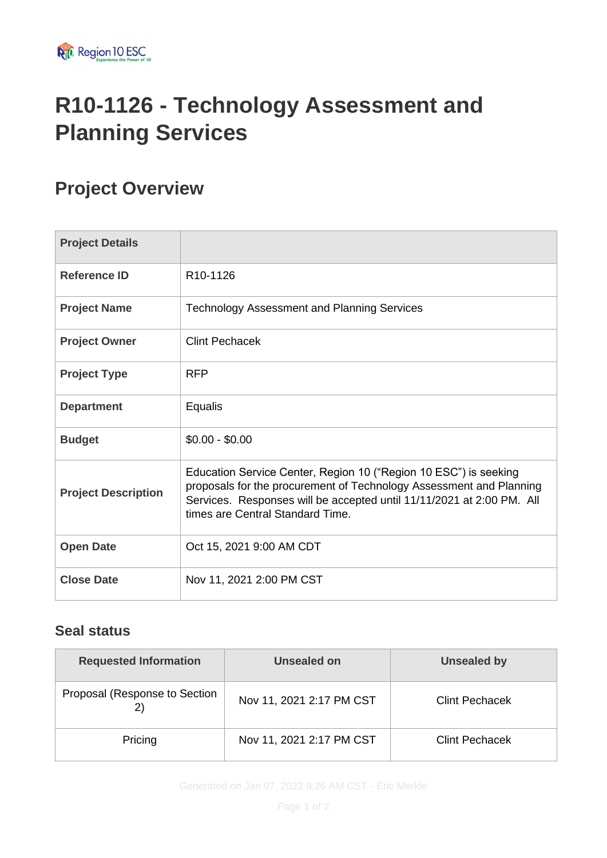

# **R10-1126 - Technology Assessment and Planning Services**

### **Project Overview**

| <b>Project Details</b>     |                                                                                                                                                                                                                                                      |
|----------------------------|------------------------------------------------------------------------------------------------------------------------------------------------------------------------------------------------------------------------------------------------------|
| <b>Reference ID</b>        | R <sub>10</sub> -1126                                                                                                                                                                                                                                |
| <b>Project Name</b>        | <b>Technology Assessment and Planning Services</b>                                                                                                                                                                                                   |
| <b>Project Owner</b>       | <b>Clint Pechacek</b>                                                                                                                                                                                                                                |
| <b>Project Type</b>        | <b>RFP</b>                                                                                                                                                                                                                                           |
| <b>Department</b>          | Equalis                                                                                                                                                                                                                                              |
| <b>Budget</b>              | $$0.00 - $0.00$                                                                                                                                                                                                                                      |
| <b>Project Description</b> | Education Service Center, Region 10 ("Region 10 ESC") is seeking<br>proposals for the procurement of Technology Assessment and Planning<br>Services. Responses will be accepted until 11/11/2021 at 2:00 PM. All<br>times are Central Standard Time. |
| <b>Open Date</b>           | Oct 15, 2021 9:00 AM CDT                                                                                                                                                                                                                             |
| <b>Close Date</b>          | Nov 11, 2021 2:00 PM CST                                                                                                                                                                                                                             |

#### **Seal status**

| <b>Requested Information</b>  | <b>Unsealed on</b>       | <b>Unsealed by</b>    |  |
|-------------------------------|--------------------------|-----------------------|--|
| Proposal (Response to Section | Nov 11, 2021 2:17 PM CST | <b>Clint Pechacek</b> |  |
| Pricing                       | Nov 11, 2021 2:17 PM CST | <b>Clint Pechacek</b> |  |